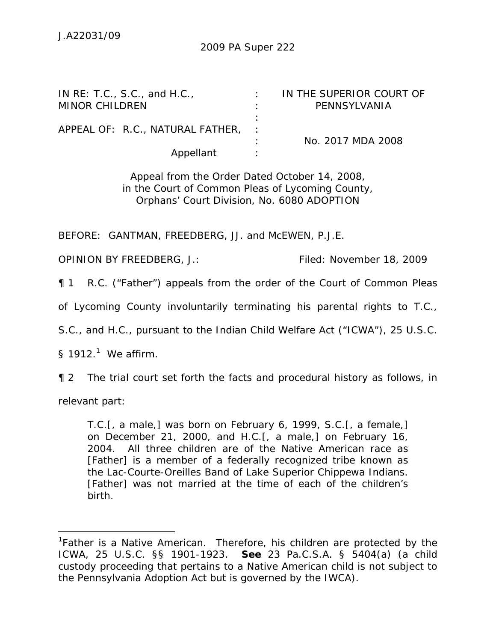| IN RE: T.C., S.C., and H.C.,     | IN THE SUPERIOR COURT OF |
|----------------------------------|--------------------------|
| <b>MINOR CHILDREN</b>            | PENNSYLVANIA             |
|                                  |                          |
| APPEAL OF: R.C., NATURAL FATHER, |                          |
|                                  | No. 2017 MDA 2008        |
| Appellant                        |                          |

Appeal from the Order Dated October 14, 2008, in the Court of Common Pleas of Lycoming County, Orphans' Court Division, No. 6080 ADOPTION

BEFORE: GANTMAN, FREEDBERG, JJ. and McEWEN, P.J.E.

OPINION BY FREEDBERG, J.: Filed: November 18, 2009

¶ 1 R.C. ("Father") appeals from the order of the Court of Common Pleas

of Lycoming County involuntarily terminating his parental rights to T.C.,

S.C., and H.C., pursuant to the Indian Child Welfare Act ("ICWA"), 25 U.S.C.

§ 1912. $^1$  We affirm.

¶ 2 The trial court set forth the facts and procedural history as follows, in

relevant part:

 $\overline{a}$ 

T.C.[, a male,] was born on February 6, 1999, S.C.[, a female,] on December 21, 2000, and H.C.[, a male,] on February 16, 2004. All three children are of the Native American race as [Father] is a member of a federally recognized tribe known as the Lac-Courte-Oreilles Band of Lake Superior Chippewa Indians. [Father] was not married at the time of each of the children's birth.

<sup>&</sup>lt;sup>1</sup>Father is a Native American. Therefore, his children are protected by the ICWA, 25 U.S.C. §§ 1901-1923. *See* 23 Pa.C.S.A. § 5404(a) (a child custody proceeding that pertains to a Native American child is not subject to the Pennsylvania Adoption Act but is governed by the IWCA).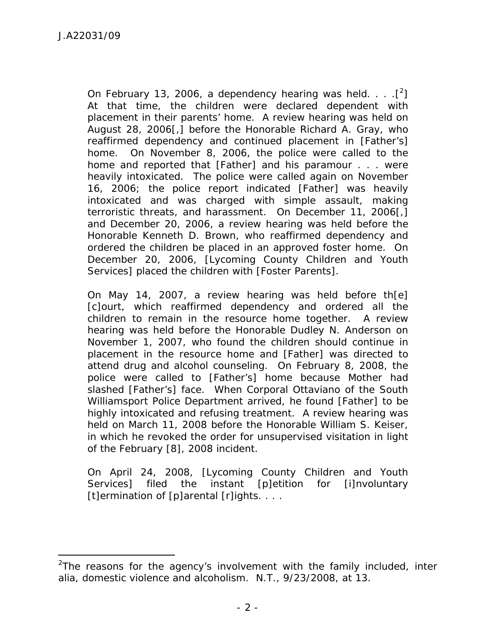-

On February 13, 2006, a dependency hearing was held.  $\ldots$  [<sup>2</sup>] At that time, the children were declared dependent with placement in their parents' home. A review hearing was held on August 28, 2006[,] before the Honorable Richard A. Gray, who reaffirmed dependency and continued placement in [Father's] home. On November 8, 2006, the police were called to the home and reported that [Father] and his paramour . . . were heavily intoxicated. The police were called again on November 16, 2006; the police report indicated [Father] was heavily intoxicated and was charged with simple assault, making terroristic threats, and harassment. On December 11, 2006[,] and December 20, 2006, a review hearing was held before the Honorable Kenneth D. Brown, who reaffirmed dependency and ordered the children be placed in an approved foster home. On December 20, 2006, [Lycoming County Children and Youth Services] placed the children with [Foster Parents].

On May 14, 2007, a review hearing was held before th[e] [c]ourt, which reaffirmed dependency and ordered all the children to remain in the resource home together. A review hearing was held before the Honorable Dudley N. Anderson on November 1, 2007, who found the children should continue in placement in the resource home and [Father] was directed to attend drug and alcohol counseling. On February 8, 2008, the police were called to [Father's] home because Mother had slashed [Father's] face. When Corporal Ottaviano of the South Williamsport Police Department arrived, he found [Father] to be highly intoxicated and refusing treatment. A review hearing was held on March 11, 2008 before the Honorable William S. Keiser, in which he revoked the order for unsupervised visitation in light of the February [8], 2008 incident.

On April 24, 2008, [Lycoming County Children and Youth Services] filed the instant [p]etition for [i]nvoluntary [t]ermination of [p]arental [r]ights. . . .

<sup>2</sup> The reasons for the agency's involvement with the family included, *inter alia*, domestic violence and alcoholism. N.T., 9/23/2008, at 13.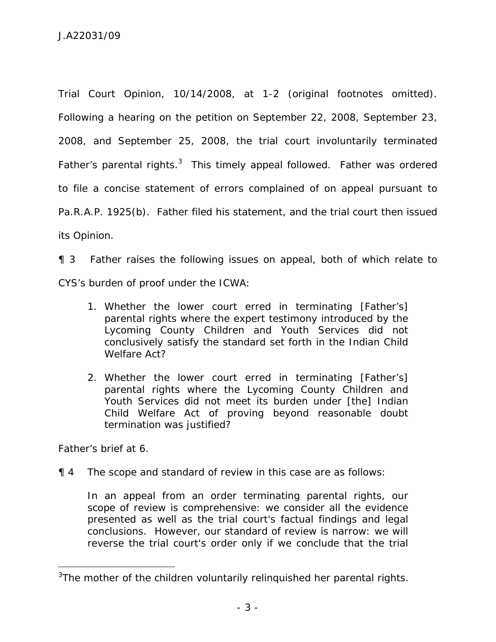Trial Court Opinion, 10/14/2008, at 1-2 (original footnotes omitted). Following a hearing on the petition on September 22, 2008, September 23, 2008, and September 25, 2008, the trial court involuntarily terminated Father's parental rights.<sup>3</sup> This timely appeal followed. Father was ordered to file a concise statement of errors complained of on appeal pursuant to Pa.R.A.P. 1925(b). Father filed his statement, and the trial court then issued its Opinion.

¶ 3 Father raises the following issues on appeal, both of which relate to CYS's burden of proof under the ICWA:

- 1. Whether the lower court erred in terminating [Father's] parental rights where the expert testimony introduced by the Lycoming County Children and Youth Services did not conclusively satisfy the standard set forth in the Indian Child Welfare Act?
- 2. Whether the lower court erred in terminating [Father's] parental rights where the Lycoming County Children and Youth Services did not meet its burden under [the] Indian Child Welfare Act of proving beyond reasonable doubt termination was justified?

Father's brief at 6.

 $\overline{a}$ 

¶ 4 The scope and standard of review in this case are as follows:

In an appeal from an order terminating parental rights, our scope of review is comprehensive: we consider all the evidence presented as well as the trial court's factual findings and legal conclusions. However, our standard of review is narrow: we will reverse the trial court's order only if we conclude that the trial

 $3$ The mother of the children voluntarily relinquished her parental rights.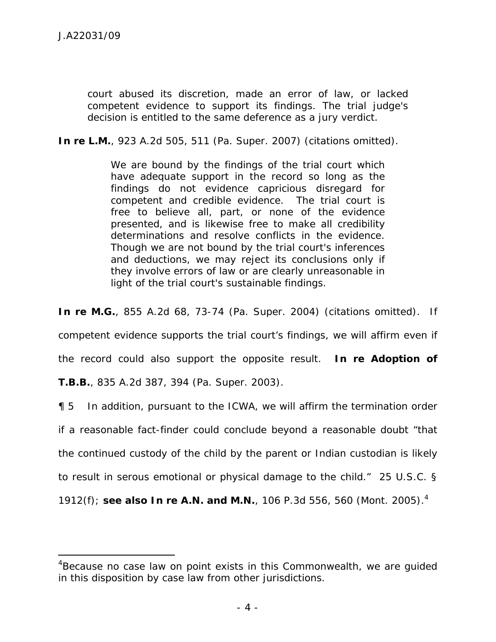-

court abused its discretion, made an error of law, or lacked competent evidence to support its findings. The trial judge's decision is entitled to the same deference as a jury verdict.

**In re L.M.**, 923 A.2d 505, 511 (Pa. Super. 2007) (citations omitted).

We are bound by the findings of the trial court which have adequate support in the record so long as the findings do not evidence capricious disregard for competent and credible evidence. The trial court is free to believe all, part, or none of the evidence presented, and is likewise free to make all credibility determinations and resolve conflicts in the evidence. Though we are not bound by the trial court's inferences and deductions, we may reject its conclusions only if they involve errors of law or are clearly unreasonable in light of the trial court's sustainable findings.

*In re M.G.*, 855 A.2d 68, 73-74 (Pa. Super. 2004) (citations omitted). If

competent evidence supports the trial court's findings, we will affirm even if

the record could also support the opposite result. *In re Adoption of* 

*T.B.B.,* 835 A.2d 387, 394 (Pa. Super. 2003).

¶ 5 In addition, pursuant to the ICWA, we will affirm the termination order

if a reasonable fact-finder could conclude beyond a reasonable doubt "that

the continued custody of the child by the parent or Indian custodian is likely

to result in serous emotional or physical damage to the child." 25 U.S.C. §

1912(f); *see also In re A.N. and M.N.*, 106 P.3d 556, 560 (Mont. 2005).4

<sup>&</sup>lt;sup>4</sup>Because no case law on point exists in this Commonwealth, we are guided in this disposition by case law from other jurisdictions.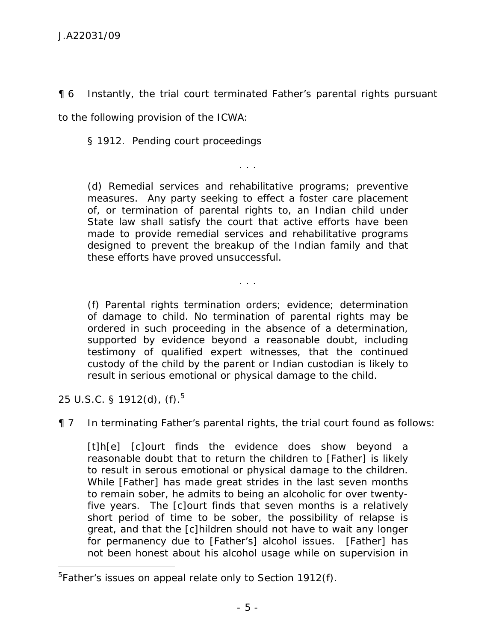¶ 6 Instantly, the trial court terminated Father's parental rights pursuant

to the following provision of the ICWA:

§ 1912. Pending court proceedings

(d) Remedial services and rehabilitative programs; preventive measures. Any party seeking to effect a foster care placement of, or termination of parental rights to, an Indian child under State law shall satisfy the court that active efforts have been made to provide remedial services and rehabilitative programs designed to prevent the breakup of the Indian family and that these efforts have proved unsuccessful.

. . .

(f) Parental rights termination orders; evidence; determination of damage to child. No termination of parental rights may be ordered in such proceeding in the absence of a determination, supported by evidence beyond a reasonable doubt, including testimony of qualified expert witnesses, that the continued custody of the child by the parent or Indian custodian is likely to result in serious emotional or physical damage to the child.

. . .

25 U.S.C. § 1912(d),  $(f)$ .<sup>5</sup>

 $\overline{a}$ 

¶ 7 In terminating Father's parental rights, the trial court found as follows:

[t]h[e] [c]ourt finds the evidence does show beyond a reasonable doubt that to return the children to [Father] is likely to result in serous emotional or physical damage to the children. While [Father] has made great strides in the last seven months to remain sober, he admits to being an alcoholic for over twentyfive years. The [c]ourt finds that seven months is a relatively short period of time to be sober, the possibility of relapse is great, and that the [c]hildren should not have to wait any longer for permanency due to [Father's] alcohol issues. [Father] has not been honest about his alcohol usage while on supervision in

<sup>&</sup>lt;sup>5</sup>Father's issues on appeal relate only to Section 1912(f).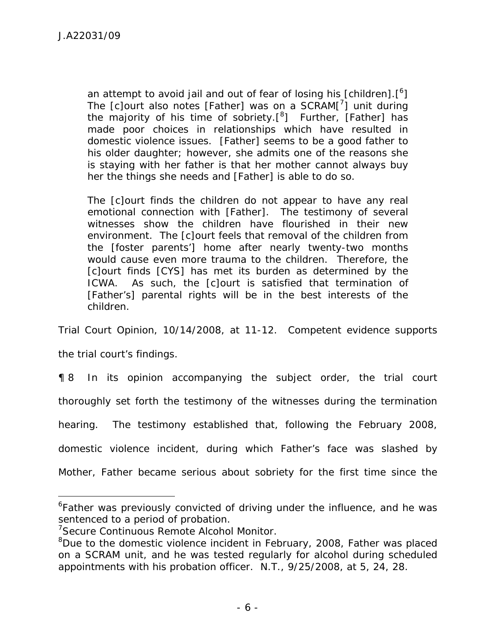an attempt to avoid jail and out of fear of losing his [children]. $[6]$ The  $[c]$ ourt also notes [Father] was on a SCRAM $[^{7}]$  unit during the majority of his time of sobriety. $[{}^{8}]$  Further, [Father] has made poor choices in relationships which have resulted in domestic violence issues. [Father] seems to be a good father to his older daughter; however, she admits one of the reasons she is staying with her father is that her mother cannot always buy her the things she needs and [Father] is able to do so.

The [c]ourt finds the children do not appear to have any real emotional connection with [Father]. The testimony of several witnesses show the children have flourished in their new environment. The [c]ourt feels that removal of the children from the [foster parents'] home after nearly twenty-two months would cause even more trauma to the children. Therefore, the [c]ourt finds [CYS] has met its burden as determined by the ICWA. As such, the [c]ourt is satisfied that termination of [Father's] parental rights will be in the best interests of the children.

Trial Court Opinion, 10/14/2008, at 11-12. Competent evidence supports

the trial court's findings.

-

¶ 8 In its opinion accompanying the subject order, the trial court thoroughly set forth the testimony of the witnesses during the termination hearing. The testimony established that, following the February 2008, domestic violence incident, during which Father's face was slashed by Mother, Father became serious about sobriety for the first time since the

<sup>&</sup>lt;sup>6</sup>Father was previously convicted of driving under the influence, and he was sentenced to a period of probation.

<sup>&</sup>lt;sup>7</sup>Secure Continuous Remote Alcohol Monitor.

<sup>&</sup>lt;sup>8</sup>Due to the domestic violence incident in February, 2008, Father was placed on a SCRAM unit, and he was tested regularly for alcohol during scheduled appointments with his probation officer. N.T., 9/25/2008, at 5, 24, 28.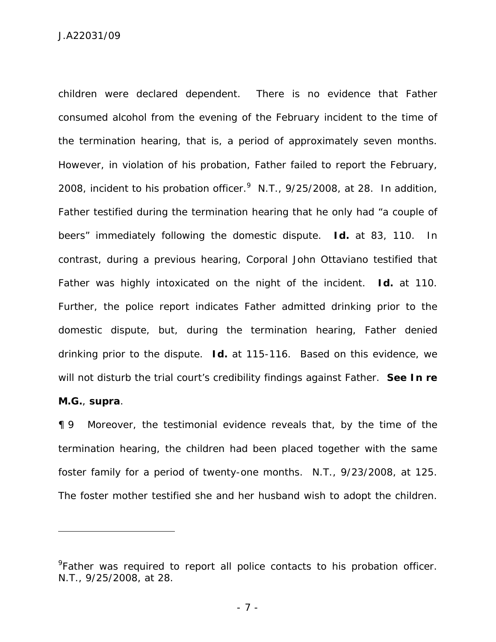children were declared dependent. There is no evidence that Father consumed alcohol from the evening of the February incident to the time of the termination hearing, that is, a period of approximately seven months. However, in violation of his probation, Father failed to report the February, 2008, incident to his probation officer. $^9$  N.T., 9/25/2008, at 28. In addition, Father testified during the termination hearing that he only had "a couple of beers" immediately following the domestic dispute. *Id.* at 83, 110. In contrast, during a previous hearing, Corporal John Ottaviano testified that Father was highly intoxicated on the night of the incident. *Id.* at 110. Further, the police report indicates Father admitted drinking prior to the domestic dispute, but, during the termination hearing, Father denied drinking prior to the dispute. *Id.* at 115-116. Based on this evidence, we will not disturb the trial court's credibility findings against Father. *See In re* 

## *M.G.*, *supra*.

-

¶ 9 Moreover, the testimonial evidence reveals that, by the time of the termination hearing, the children had been placed together with the same foster family for a period of twenty-one months. N.T., 9/23/2008, at 125. The foster mother testified she and her husband wish to adopt the children.

<sup>&</sup>lt;sup>9</sup> Father was required to report all police contacts to his probation officer. N.T., 9/25/2008, at 28.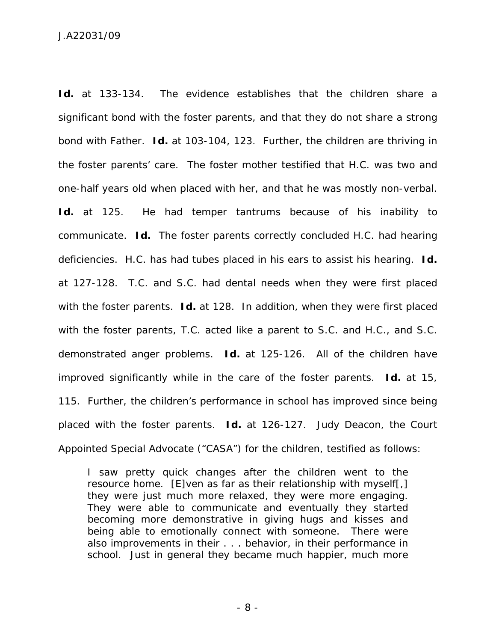Id. at 133-134. The evidence establishes that the children share a significant bond with the foster parents, and that they do not share a strong bond with Father. *Id.* at 103-104, 123. Further, the children are thriving in the foster parents' care. The foster mother testified that H.C. was two and one-half years old when placed with her, and that he was mostly non-verbal. Id. at 125. He had temper tantrums because of his inability to communicate. *Id.* The foster parents correctly concluded H.C. had hearing deficiencies. H.C. has had tubes placed in his ears to assist his hearing. *Id.* at 127-128. T.C. and S.C. had dental needs when they were first placed with the foster parents. *Id.* at 128. In addition, when they were first placed with the foster parents, T.C. acted like a parent to S.C. and H.C., and S.C. demonstrated anger problems. *Id.* at 125-126. All of the children have improved significantly while in the care of the foster parents. *Id.* at 15, 115. Further, the children's performance in school has improved since being placed with the foster parents. *Id.* at 126-127. Judy Deacon, the Court Appointed Special Advocate ("CASA") for the children, testified as follows:

I saw pretty quick changes after the children went to the resource home. [E]ven as far as their relationship with myself[,] they were just much more relaxed, they were more engaging. They were able to communicate and eventually they started becoming more demonstrative in giving hugs and kisses and being able to emotionally connect with someone. There were also improvements in their . . . behavior, in their performance in school. Just in general they became much happier, much more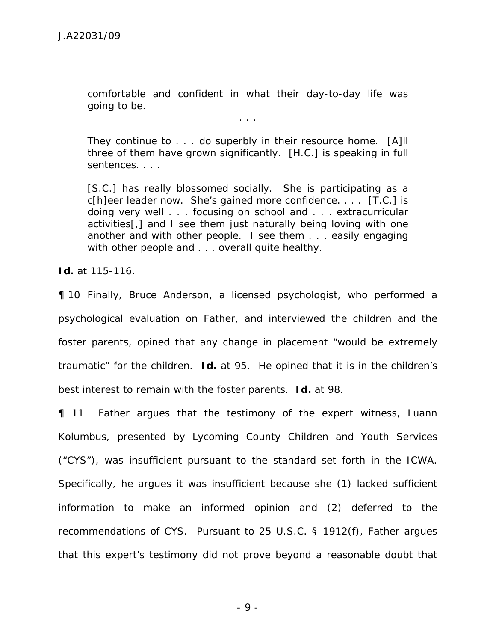comfortable and confident in what their day-to-day life was going to be.

. . .

They continue to . . . do superbly in their resource home. [A]ll three of them have grown significantly. [H.C.] is speaking in full sentences. . . .

[S.C.] has really blossomed socially. She is participating as a c[h]eer leader now. She's gained more confidence. . . . [T.C.] is doing very well . . . focusing on school and . . . extracurricular activities[,] and I see them just naturally being loving with one another and with other people. I see them . . . easily engaging with other people and . . . overall quite healthy.

*Id.* at 115-116.

¶ 10 Finally, Bruce Anderson, a licensed psychologist, who performed a psychological evaluation on Father, and interviewed the children and the foster parents, opined that any change in placement "would be extremely traumatic" for the children. *Id.* at 95. He opined that it is in the children's best interest to remain with the foster parents. *Id.* at 98.

¶ 11 Father argues that the testimony of the expert witness, Luann Kolumbus, presented by Lycoming County Children and Youth Services ("CYS"), was insufficient pursuant to the standard set forth in the ICWA. Specifically, he argues it was insufficient because she (1) lacked sufficient information to make an informed opinion and (2) deferred to the recommendations of CYS. Pursuant to 25 U.S.C. § 1912(f), Father argues that this expert's testimony did not prove beyond a reasonable doubt that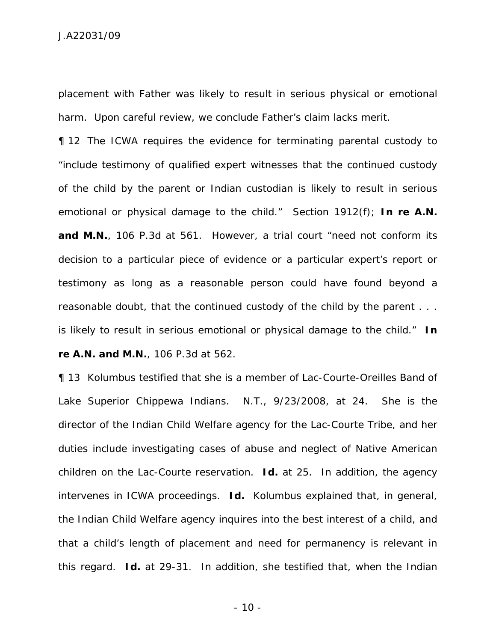J.A22031/09

placement with Father was likely to result in serious physical or emotional harm. Upon careful review, we conclude Father's claim lacks merit.

¶ 12 The ICWA requires the evidence for terminating parental custody to "include testimony of qualified expert witnesses that the continued custody of the child by the parent or Indian custodian is likely to result in serious emotional or physical damage to the child." Section 1912(f); *In re A.N.*  and M.N., 106 P.3d at 561. However, a trial court "need not conform its decision to a particular piece of evidence or a particular expert's report or testimony as long as a reasonable person could have found beyond a reasonable doubt, that the continued custody of the child by the parent . . . is likely to result in serious emotional or physical damage to the child." *In re A.N. and M.N.*, 106 P.3d at 562.

¶ 13 Kolumbus testified that she is a member of Lac-Courte-Oreilles Band of Lake Superior Chippewa Indians. N.T., 9/23/2008, at 24. She is the director of the Indian Child Welfare agency for the Lac-Courte Tribe, and her duties include investigating cases of abuse and neglect of Native American children on the Lac-Courte reservation. *Id.* at 25. In addition, the agency intervenes in ICWA proceedings. *Id.* Kolumbus explained that, in general, the Indian Child Welfare agency inquires into the best interest of a child, and that a child's length of placement and need for permanency is relevant in this regard. *Id.* at 29-31. In addition, she testified that, when the Indian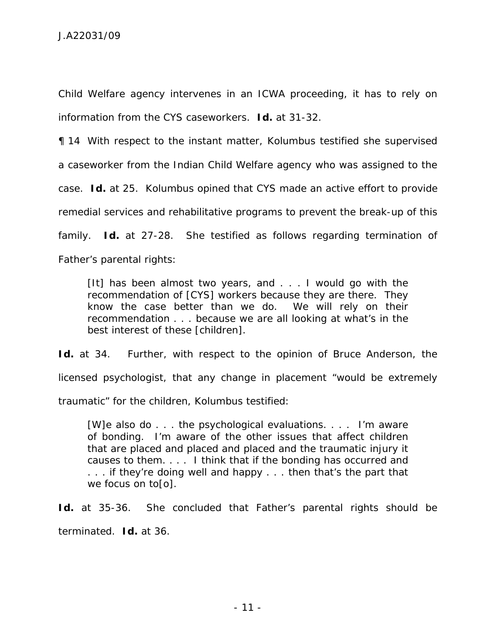Child Welfare agency intervenes in an ICWA proceeding, it has to rely on information from the CYS caseworkers. *Id.* at 31-32.

¶ 14 With respect to the instant matter, Kolumbus testified she supervised a caseworker from the Indian Child Welfare agency who was assigned to the case. *Id.* at 25. Kolumbus opined that CYS made an active effort to provide remedial services and rehabilitative programs to prevent the break-up of this family. *Id.* at 27-28. She testified as follows regarding termination of Father's parental rights:

[It] has been almost two years, and . . . I would go with the recommendation of [CYS] workers because they are there. They know the case better than we do. We will rely on their recommendation . . . because we are all looking at what's in the best interest of these [children].

Id. at 34. Further, with respect to the opinion of Bruce Anderson, the licensed psychologist, that any change in placement "would be extremely traumatic" for the children, Kolumbus testified:

[W]e also do . . . the psychological evaluations. . . . I'm aware of bonding. I'm aware of the other issues that affect children that are placed and placed and placed and the traumatic injury it causes to them. . . . I think that if the bonding has occurred and ... if they're doing well and happy ... then that's the part that we focus on to[o].

Id. at 35-36. She concluded that Father's parental rights should be terminated. *Id.* at 36.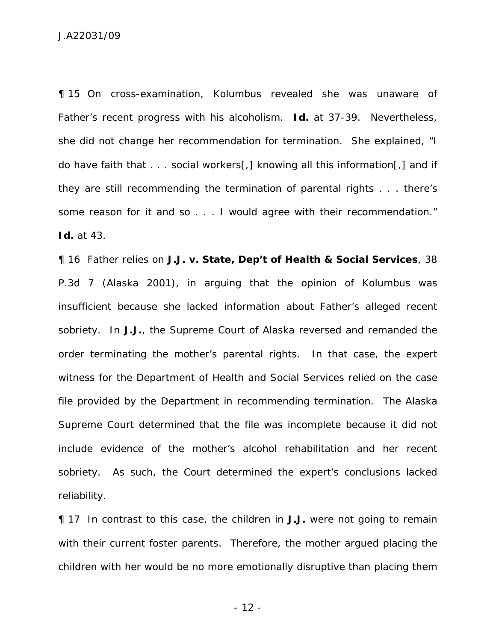¶ 15 On cross-examination, Kolumbus revealed she was unaware of Father's recent progress with his alcoholism. *Id.* at 37-39. Nevertheless, she did not change her recommendation for termination. She explained, "I do have faith that . . . social workers[,] knowing all this information[,] and if they are still recommending the termination of parental rights . . . there's some reason for it and so . . . I would agree with their recommendation." *Id.* at 43.

¶ 16 Father relies on *J.J. v. State, Dep't of Health & Social Services*, 38 P.3d 7 (Alaska 2001), in arguing that the opinion of Kolumbus was insufficient because she lacked information about Father's alleged recent sobriety. In *J.J.*, the Supreme Court of Alaska reversed and remanded the order terminating the mother's parental rights. In that case, the expert witness for the Department of Health and Social Services relied on the case file provided by the Department in recommending termination. The Alaska Supreme Court determined that the file was incomplete because it did not include evidence of the mother's alcohol rehabilitation and her recent sobriety. As such, the Court determined the expert's conclusions lacked reliability.

¶ 17 In contrast to this case, the children in *J.J.* were not going to remain with their current foster parents. Therefore, the mother argued placing the children with her would be no more emotionally disruptive than placing them

- 12 -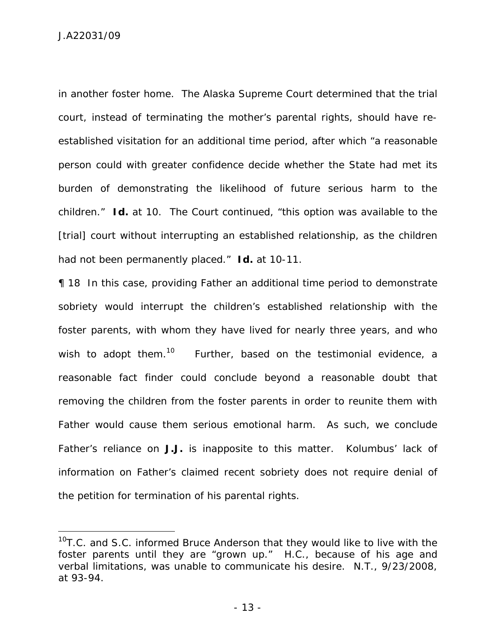J.A22031/09

 $\overline{a}$ 

in another foster home. The Alaska Supreme Court determined that the trial court, instead of terminating the mother's parental rights, should have reestablished visitation for an additional time period, after which "a reasonable person could with greater confidence decide whether the State had met its burden of demonstrating the likelihood of future serious harm to the children." *Id.* at 10. The Court continued, "this option was available to the [trial] court without interrupting an established relationship, as the children had not been permanently placed." *Id.* at 10-11.

¶ 18 In this case, providing Father an additional time period to demonstrate sobriety would interrupt the children's established relationship with the foster parents, with whom they have lived for nearly three years, and who wish to adopt them.<sup>10</sup> Further, based on the testimonial evidence, a reasonable fact finder could conclude beyond a reasonable doubt that removing the children from the foster parents in order to reunite them with Father would cause them serious emotional harm. As such, we conclude Father's reliance on *J.J.* is inapposite to this matter. Kolumbus' lack of information on Father's claimed recent sobriety does not require denial of the petition for termination of his parental rights.

 $10$ T.C. and S.C. informed Bruce Anderson that they would like to live with the foster parents until they are "grown up." H.C., because of his age and verbal limitations, was unable to communicate his desire. N.T., 9/23/2008, at 93-94.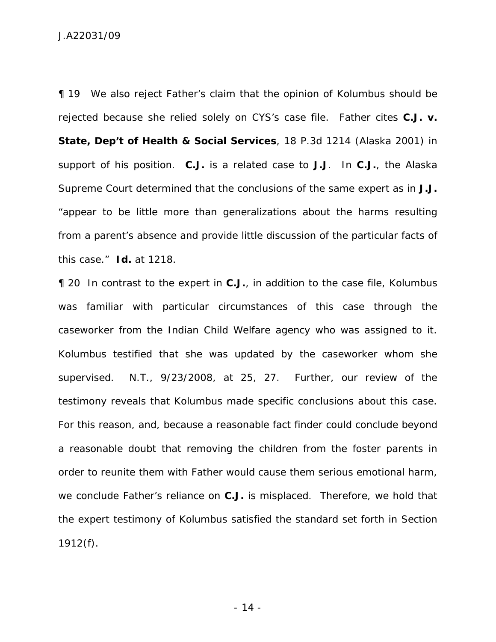¶ 19 We also reject Father's claim that the opinion of Kolumbus should be rejected because she relied solely on CYS's case file. Father cites *C.J. v. State, Dep't of Health & Social Services*, 18 P.3d 1214 (Alaska 2001) in support of his position. *C.J.* is a related case to *J.J*. In *C.J.*, the Alaska Supreme Court determined that the conclusions of the same expert as in *J.J.* "appear to be little more than generalizations about the harms resulting from a parent's absence and provide little discussion of the particular facts of this case." *Id.* at 1218.

¶ 20 In contrast to the expert in *C.J.*, in addition to the case file, Kolumbus was familiar with particular circumstances of this case through the caseworker from the Indian Child Welfare agency who was assigned to it. Kolumbus testified that she was updated by the caseworker whom she supervised. N.T., 9/23/2008, at 25, 27. Further, our review of the testimony reveals that Kolumbus made specific conclusions about this case. For this reason, and, because a reasonable fact finder could conclude beyond a reasonable doubt that removing the children from the foster parents in order to reunite them with Father would cause them serious emotional harm, we conclude Father's reliance on *C.J.* is misplaced. Therefore, we hold that the expert testimony of Kolumbus satisfied the standard set forth in Section 1912(f).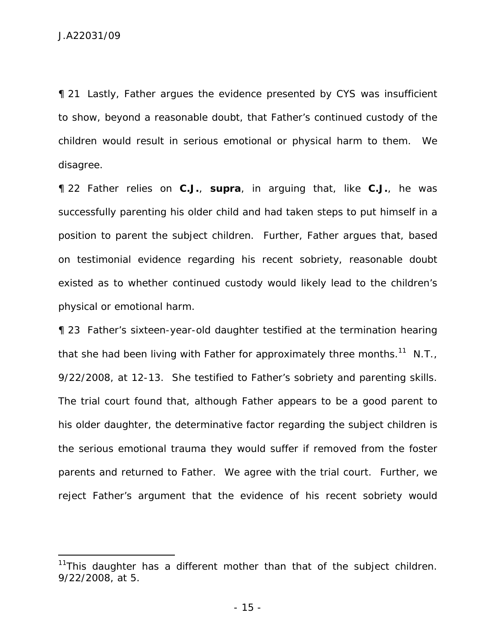-

¶ 21 Lastly, Father argues the evidence presented by CYS was insufficient to show, beyond a reasonable doubt, that Father's continued custody of the children would result in serious emotional or physical harm to them. We disagree.

¶ 22 Father relies on *C.J.*, *supra*, in arguing that, like *C.J.*, he was successfully parenting his older child and had taken steps to put himself in a position to parent the subject children. Further, Father argues that, based on testimonial evidence regarding his recent sobriety, reasonable doubt existed as to whether continued custody would likely lead to the children's physical or emotional harm.

¶ 23 Father's sixteen-year-old daughter testified at the termination hearing that she had been living with Father for approximately three months.<sup>11</sup> N.T., 9/22/2008, at 12-13. She testified to Father's sobriety and parenting skills. The trial court found that, although Father appears to be a good parent to his older daughter, the determinative factor regarding the subject children is the serious emotional trauma they would suffer if removed from the foster parents and returned to Father. We agree with the trial court. Further, we reject Father's argument that the evidence of his recent sobriety would

 $11$ This daughter has a different mother than that of the subject children. 9/22/2008, at 5.